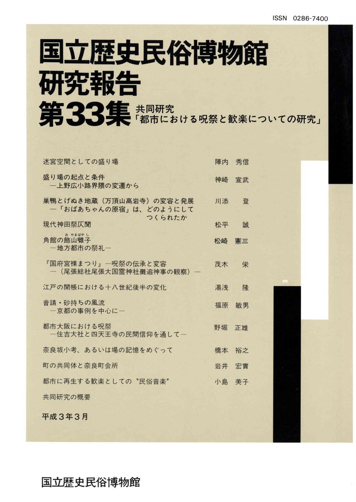# 国立歴史民俗博物館 研究報告 第33集 #同研究 第2の以下の研究」

| 迷宮空間としての盛り場                                               | 陣内    | 秀信 |
|-----------------------------------------------------------|-------|----|
| 盛り場の起点と条件<br>一上野広小路界隈の変遷から                                | 神崎    | 古官 |
| 巣鴨とげぬき地蔵(万頂山高岩寺)の変容と発展<br>一「おばあちゃんの原宿」は、どのようにして<br>つくられたか | 川添    | 登  |
| 現代神田祭仄聞                                                   | 松平    | 誠  |
| お やまばやし<br>角館の飾山囃子<br>一地方都市の祭礼ー                           | 松崎    | 憲三 |
| 『国府宮裸まつり』―呪祭の伝承と変容<br>一 (尾張総社尾張大国霊神社儺追神事の観察) 一            | 茂木    | 栄  |
| 江戸の開帳における十八世紀後半の変化                                        | 湯浅    | 降  |
| 普請・砂持ちの風流<br>一京都の事例を中心に一                                  | 福原    | 敏男 |
| 都市大阪における呪祭<br>一住吉大社と四天王寺の民間信仰を通して一                        | 野堀    | 正雄 |
| 奈良坂小考、あるいは場の記憶をめぐって                                       | 橋本    | 裕之 |
| 町の共同体と奈良町会所                                               | 岩井    | 宏實 |
| 都市に再生する歓楽としての "民俗音楽"                                      | 小島 美子 |    |
| 共同研究の概要                                                   |       |    |
| 平成3年3月                                                    |       |    |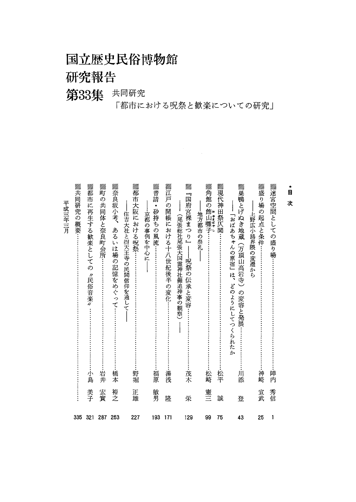## 国立歴史民俗博物館

## 研究報告

## 第33集 共同研究

「都市における呪祭と歓楽についての研究」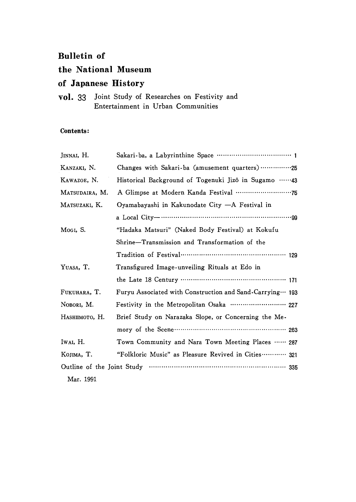#### **Bulletin of**

#### the National Museum

#### of Japanese History

vol. 33 Joint Study of Researches on Festivity and Entertainment in Urban Communities

#### Contents:

| JINNAI, H.     |                                                              |
|----------------|--------------------------------------------------------------|
| KANZAKI, N.    | Changes with Sakari-ba (amusement quarters) 25               |
| KAWAZOE, N.    | Historical Background of Togenuki Jizô in Sugamo 43          |
| MATSUDAIRA, M. |                                                              |
| MATSUZAKI, K.  | Oyamabayashi in Kakunodate City - A Festival in              |
|                |                                                              |
| Mogi, S.       | "Hadaka Matsuri" (Naked Body Festival) at Kokufu             |
|                | Shrine-Transmission and Transformation of the                |
|                |                                                              |
| YUASA, T.      | Transfigured Image-unveiling Rituals at Edo in               |
|                | the Late 18 Century ………………………………………… 171                     |
| FUKUHARA, T.   | Furyu Associated with Construction and Sand-Carrying ··· 193 |
| NOBORI, M.     | Festivity in the Metropolitan Osaka  227                     |
| Наѕнимото, Н.  | Brief Study on Narazaka Slope, or Concerning the Me-         |
|                |                                                              |
| Iwal, H.       | Town Community and Nara Town Meeting Places  287             |
| KOJIMA, T.     | "Folkloric Music" as Pleasure Revived in Cities 321          |
|                |                                                              |
| Mar. 1991      |                                                              |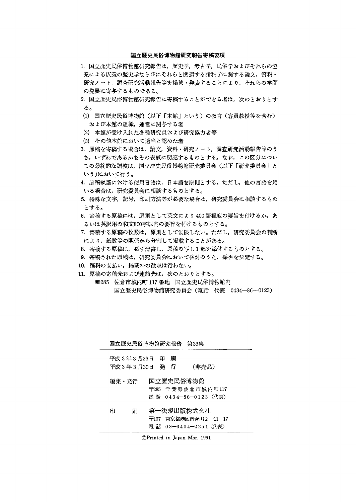#### 国立歴史民俗博物館研究報告寄稿要項

- 1.国立歴史民俗博物館研究報告は,歴史学,考古学,民俗学およびそれらの協 業による広義の歴史学ならびにそれらと関連する諸科学に関する論文,資料・ 研究ノート,調査研究活動報告等を掲載・発表することにより,それらの学問 の発展に寄与するものである。
- 2.国立歴史民俗博物館研究報告に寄稿することができる者は,次のとおりとす る。
- (1)国立歴史民俗博物館(以下「本館」という)の教官(客員教授等を含む) および本館の組織,運営に関与する者
- (2)本館が受け入れた各種研究員および研究協力老等
- (3)その他本館において適当と認めた者
- 3.原稿を寄稿する場合は,論文,資料・研究ノート,調査研究活動報告等のう ち,いずれであるかをその表紙に明記するものとする。なお,この区分につい ての最終的な調整は,国立歴史民俗博物館研究委員会(以下「研究委員会」と いう)において行う。
- 4.原稿執筆における使用言語は,日本語を原則とする。ただし,他の言語を用 いる場合は,研究委員会に相談するものとする。
- 5特殊な文字,記号,印刷方法等が必要な場合は,研究委員会に相談するもの とする。
- 6. 寄稿する原稿には,原則として英文により400語程度の要旨を付けるか,あ るいは英訳用の和文800字以内の要旨を付けるものとする。
- 7. 寄稿する原稿の枚数は,原則として制限しない。ただし,研究委員会の判断 により,紙数等の関係から分割して掲載することがある。
- 8.寄稿する原稿は,必ず清書し,原稿の写し1部を添付するものとする。
- 9. 寄稿された原稿は、研究委員会において検討のうえ、採否を決定する。
- 10. 稿料の支払い,掲載料の徴収は行わない。
- 11.原稿の寄稿先および連絡先は,次のとおりとする。
	- 尋285佐倉市城内町117番地 国立歴史民俗博物館内 国立歴史民俗博物館研究委員会(電話 代表 0434-86-0123)

| 国立歴史民俗博物館研究報告                  |          | 第33集                                          |
|--------------------------------|----------|-----------------------------------------------|
| 平成 3 年 3 月23日<br>平成 3 年 3 月30日 | 印<br>発行行 | 刷<br>(非売品)                                    |
| 編集・発行                          |          | 国立歴史民俗博物館                                     |
|                                |          | 〒285 千葉県佐倉市城内町117<br>電 話 0434―86―0123(代表)     |
| 刷<br>印                         |          | 第一法規出版株式会社                                    |
|                                |          | 〒107 東京都港区南青山 2-11-17<br>電話 03-3404-2251 (代表) |

©Printed in Japan Mar. 1991